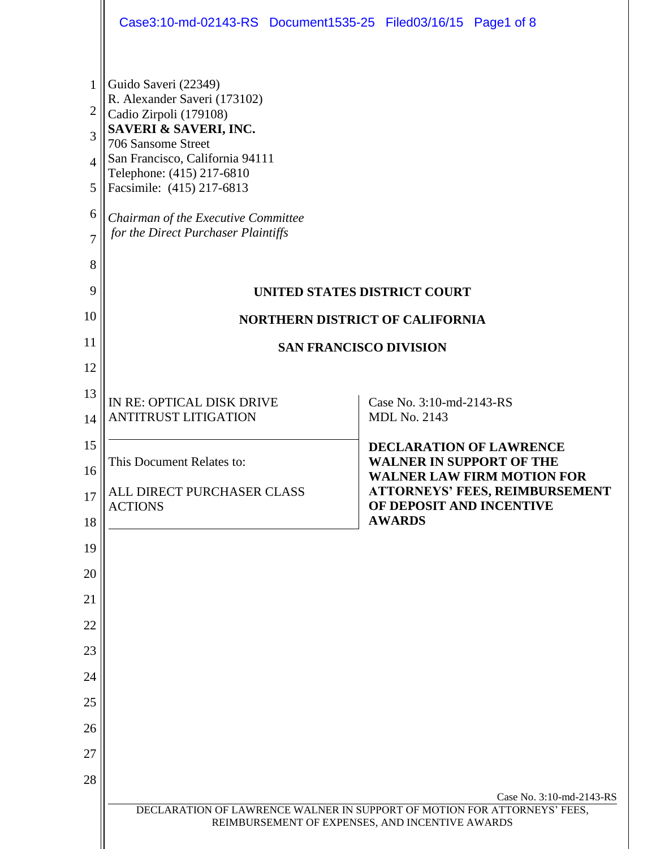|                                                                            | Case3:10-md-02143-RS Document1535-25 Filed03/16/15 Page1 of 8                                                                                                                                                                                                                                                                            |  |  |  |  |  |
|----------------------------------------------------------------------------|------------------------------------------------------------------------------------------------------------------------------------------------------------------------------------------------------------------------------------------------------------------------------------------------------------------------------------------|--|--|--|--|--|
| 1<br>$\overline{2}$<br>3<br>$\Delta$<br>5<br>6<br>$\overline{7}$<br>8<br>9 | Guido Saveri (22349)<br>R. Alexander Saveri (173102)<br>Cadio Zirpoli (179108)<br>SAVERI & SAVERI, INC.<br>706 Sansome Street<br>San Francisco, California 94111<br>Telephone: (415) 217-6810<br>Facsimile: (415) 217-6813<br>Chairman of the Executive Committee<br>for the Direct Purchaser Plaintiffs<br>UNITED STATES DISTRICT COURT |  |  |  |  |  |
| 10                                                                         | <b>NORTHERN DISTRICT OF CALIFORNIA</b>                                                                                                                                                                                                                                                                                                   |  |  |  |  |  |
| 11                                                                         | <b>SAN FRANCISCO DIVISION</b>                                                                                                                                                                                                                                                                                                            |  |  |  |  |  |
| 12                                                                         |                                                                                                                                                                                                                                                                                                                                          |  |  |  |  |  |
| 13                                                                         | IN RE: OPTICAL DISK DRIVE<br>Case No. 3:10-md-2143-RS                                                                                                                                                                                                                                                                                    |  |  |  |  |  |
| 14                                                                         | <b>ANTITRUST LITIGATION</b><br><b>MDL No. 2143</b>                                                                                                                                                                                                                                                                                       |  |  |  |  |  |
| 15                                                                         | <b>DECLARATION OF LAWRENCE</b><br><b>WALNER IN SUPPORT OF THE</b><br>This Document Relates to:                                                                                                                                                                                                                                           |  |  |  |  |  |
| 16                                                                         | <b>WALNER LAW FIRM MOTION FOR</b><br>ALL DIRECT PURCHASER CLASS<br><b>ATTORNEYS' FEES, REIMBURSEMENT</b>                                                                                                                                                                                                                                 |  |  |  |  |  |
| 17                                                                         | OF DEPOSIT AND INCENTIVE<br><b>ACTIONS</b><br><b>AWARDS</b>                                                                                                                                                                                                                                                                              |  |  |  |  |  |
| 18                                                                         |                                                                                                                                                                                                                                                                                                                                          |  |  |  |  |  |
| 19<br>20                                                                   |                                                                                                                                                                                                                                                                                                                                          |  |  |  |  |  |
| 21                                                                         |                                                                                                                                                                                                                                                                                                                                          |  |  |  |  |  |
| 22                                                                         |                                                                                                                                                                                                                                                                                                                                          |  |  |  |  |  |
| 23                                                                         |                                                                                                                                                                                                                                                                                                                                          |  |  |  |  |  |
| 24                                                                         |                                                                                                                                                                                                                                                                                                                                          |  |  |  |  |  |
| 25                                                                         |                                                                                                                                                                                                                                                                                                                                          |  |  |  |  |  |
| 26                                                                         |                                                                                                                                                                                                                                                                                                                                          |  |  |  |  |  |
| 27                                                                         |                                                                                                                                                                                                                                                                                                                                          |  |  |  |  |  |
| 28                                                                         |                                                                                                                                                                                                                                                                                                                                          |  |  |  |  |  |
|                                                                            | Case No. 3:10-md-2143-RS<br>DECLARATION OF LAWRENCE WALNER IN SUPPORT OF MOTION FOR ATTORNEYS' FEES,<br>REIMBURSEMENT OF EXPENSES, AND INCENTIVE AWARDS                                                                                                                                                                                  |  |  |  |  |  |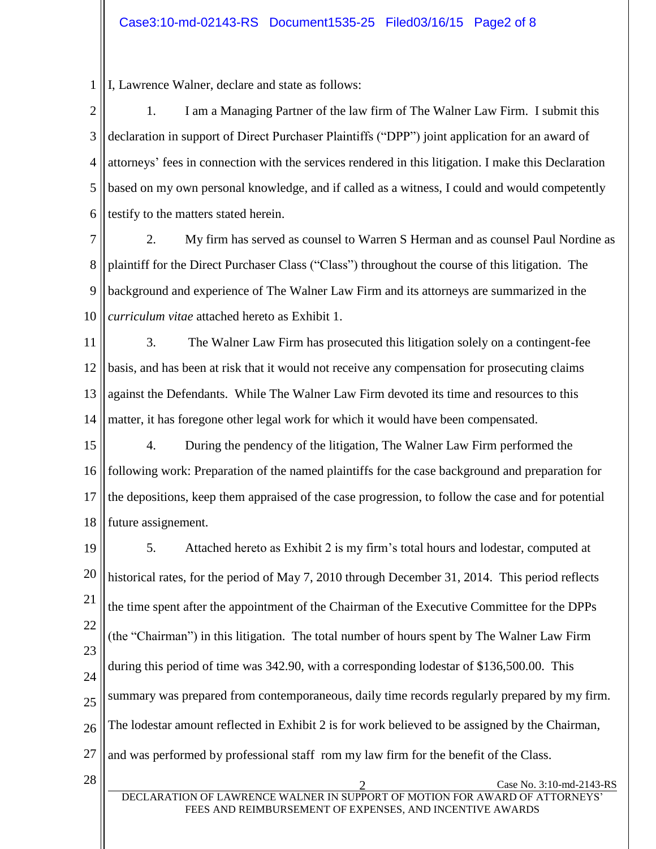1 I, Lawrence Walner, declare and state as follows:

2 3 4 5 6 1. I am a Managing Partner of the law firm of The Walner Law Firm. I submit this declaration in support of Direct Purchaser Plaintiffs ("DPP") joint application for an award of attorneys' fees in connection with the services rendered in this litigation. I make this Declaration based on my own personal knowledge, and if called as a witness, I could and would competently testify to the matters stated herein.

7 8 9 10 2. My firm has served as counsel to Warren S Herman and as counsel Paul Nordine as plaintiff for the Direct Purchaser Class ("Class") throughout the course of this litigation. The background and experience of The Walner Law Firm and its attorneys are summarized in the *curriculum vitae* attached hereto as Exhibit 1.

11 12 13 14 3. The Walner Law Firm has prosecuted this litigation solely on a contingent-fee basis, and has been at risk that it would not receive any compensation for prosecuting claims against the Defendants. While The Walner Law Firm devoted its time and resources to this matter, it has foregone other legal work for which it would have been compensated.

15 16 17 18 4. During the pendency of the litigation, The Walner Law Firm performed the following work: Preparation of the named plaintiffs for the case background and preparation for the depositions, keep them appraised of the case progression, to follow the case and for potential future assignement.

19 20 21 22 23 24 25 26 27 5. Attached hereto as Exhibit 2 is my firm's total hours and lodestar, computed at historical rates, for the period of May 7, 2010 through December 31, 2014. This period reflects the time spent after the appointment of the Chairman of the Executive Committee for the DPPs (the "Chairman") in this litigation. The total number of hours spent by The Walner Law Firm during this period of time was 342.90, with a corresponding lodestar of \$136,500.00. This summary was prepared from contemporaneous, daily time records regularly prepared by my firm. The lodestar amount reflected in Exhibit 2 is for work believed to be assigned by the Chairman, and was performed by professional staff rom my law firm for the benefit of the Class.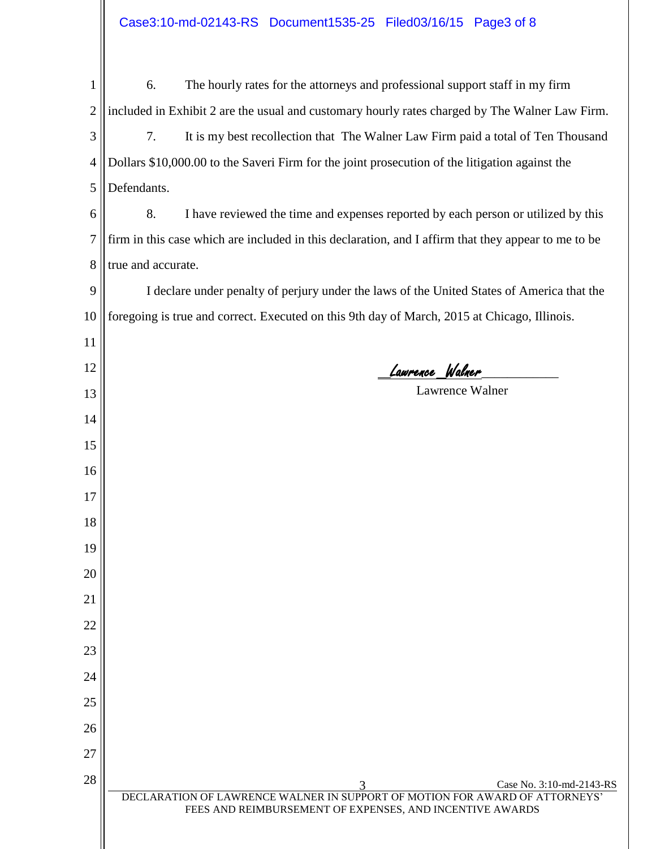| 1              | The hourly rates for the attorneys and professional support staff in my firm<br>6.                                                      |  |  |  |  |  |
|----------------|-----------------------------------------------------------------------------------------------------------------------------------------|--|--|--|--|--|
| $\overline{2}$ | included in Exhibit 2 are the usual and customary hourly rates charged by The Walner Law Firm.                                          |  |  |  |  |  |
| 3              | 7.<br>It is my best recollection that The Walner Law Firm paid a total of Ten Thousand                                                  |  |  |  |  |  |
| 4              | Dollars \$10,000.00 to the Saveri Firm for the joint prosecution of the litigation against the                                          |  |  |  |  |  |
| 5              | Defendants.                                                                                                                             |  |  |  |  |  |
| 6              | 8.<br>I have reviewed the time and expenses reported by each person or utilized by this                                                 |  |  |  |  |  |
| 7              | firm in this case which are included in this declaration, and I affirm that they appear to me to be                                     |  |  |  |  |  |
| 8              | true and accurate.                                                                                                                      |  |  |  |  |  |
| 9              | I declare under penalty of perjury under the laws of the United States of America that the                                              |  |  |  |  |  |
| 10             | foregoing is true and correct. Executed on this 9th day of March, 2015 at Chicago, Illinois.                                            |  |  |  |  |  |
| 11             |                                                                                                                                         |  |  |  |  |  |
| 12             | Lawrence Walner                                                                                                                         |  |  |  |  |  |
| 13             | Lawrence Walner                                                                                                                         |  |  |  |  |  |
| 14             |                                                                                                                                         |  |  |  |  |  |
| 15             |                                                                                                                                         |  |  |  |  |  |
| 16             |                                                                                                                                         |  |  |  |  |  |
| 17             |                                                                                                                                         |  |  |  |  |  |
| 18             |                                                                                                                                         |  |  |  |  |  |
| 19             |                                                                                                                                         |  |  |  |  |  |
| 20             |                                                                                                                                         |  |  |  |  |  |
| 21             |                                                                                                                                         |  |  |  |  |  |
| 22             |                                                                                                                                         |  |  |  |  |  |
| 23             |                                                                                                                                         |  |  |  |  |  |
| 24             |                                                                                                                                         |  |  |  |  |  |
| 25             |                                                                                                                                         |  |  |  |  |  |
| 26             |                                                                                                                                         |  |  |  |  |  |
| 27             |                                                                                                                                         |  |  |  |  |  |
| 28             | Case No. 3:10-md-2143-RS                                                                                                                |  |  |  |  |  |
|                | DECLARATION OF LAWRENCE WALNER IN SUPPORT OF MOTION FOR AWARD OF ATTORNEYS'<br>FEES AND REIMBURSEMENT OF EXPENSES, AND INCENTIVE AWARDS |  |  |  |  |  |
|                |                                                                                                                                         |  |  |  |  |  |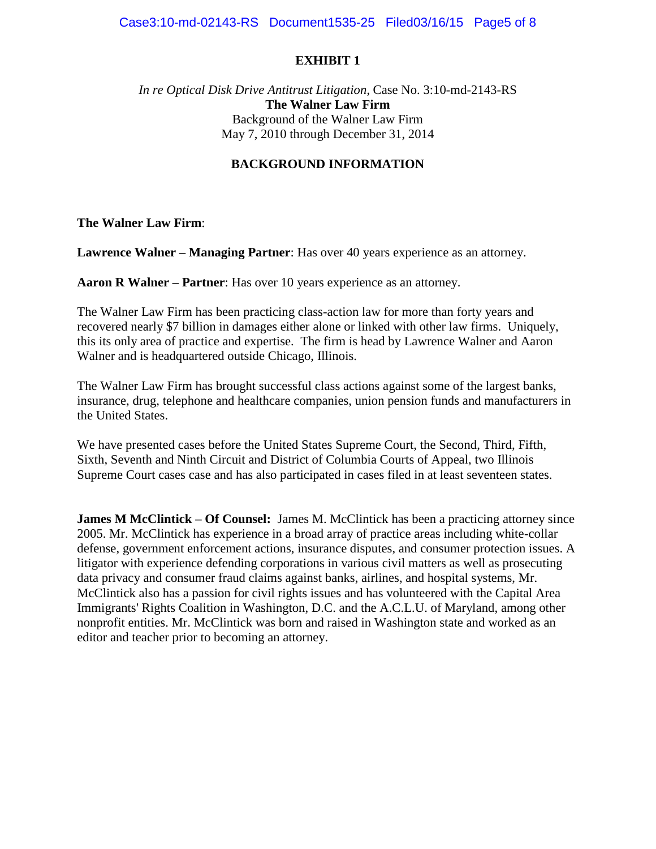#### *In re Optical Disk Drive Antitrust Litigation*, Case No. 3:10-md-2143-RS **The Walner Law Firm** Background of the Walner Law Firm May 7, 2010 through December 31, 2014

## **BACKGROUND INFORMATION**

**The Walner Law Firm**:

**Lawrence Walner – Managing Partner**: Has over 40 years experience as an attorney.

**Aaron R Walner – Partner**: Has over 10 years experience as an attorney.

The Walner Law Firm has been practicing class-action law for more than forty years and recovered nearly \$7 billion in damages either alone or linked with other law firms. Uniquely, this its only area of practice and expertise. The firm is head by Lawrence Walner and Aaron Walner and is headquartered outside Chicago, Illinois.

The Walner Law Firm has brought successful class actions against some of the largest banks, insurance, drug, telephone and healthcare companies, union pension funds and manufacturers in the United States.

We have presented cases before the United States Supreme Court, the Second, Third, Fifth, Sixth, Seventh and Ninth Circuit and District of Columbia Courts of Appeal, two Illinois Supreme Court cases case and has also participated in cases filed in at least seventeen states.

**James M McClintick – Of Counsel:** James M. McClintick has been a practicing attorney since 2005. Mr. McClintick has experience in a broad array of practice areas including white-collar defense, government enforcement actions, insurance disputes, and consumer protection issues. A litigator with experience defending corporations in various civil matters as well as prosecuting data privacy and consumer fraud claims against banks, airlines, and hospital systems, Mr. McClintick also has a passion for civil rights issues and has volunteered with the Capital Area Immigrants' Rights Coalition in Washington, D.C. and the A.C.L.U. of Maryland, among other nonprofit entities. Mr. McClintick was born and raised in Washington state and worked as an editor and teacher prior to becoming an attorney.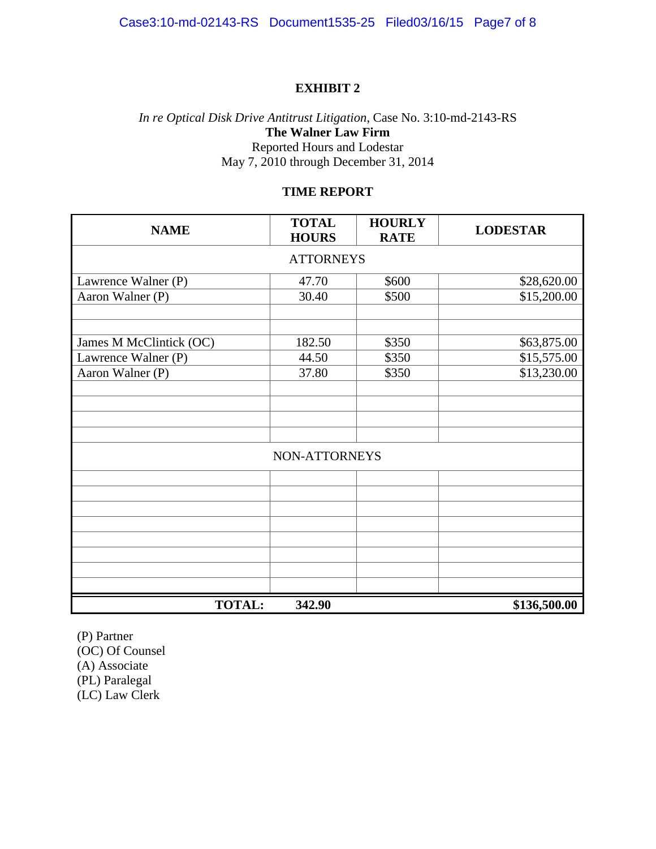# *In re Optical Disk Drive Antitrust Litigation*, Case No. 3:10-md-2143-RS **The Walner Law Firm** Reported Hours and Lodestar May 7, 2010 through December 31, 2014

## **TIME REPORT**

| <b>NAME</b>             | <b>TOTAL</b><br><b>HOURS</b> | <b>HOURLY</b><br><b>RATE</b> | <b>LODESTAR</b> |  |  |  |  |
|-------------------------|------------------------------|------------------------------|-----------------|--|--|--|--|
| <b>ATTORNEYS</b>        |                              |                              |                 |  |  |  |  |
| Lawrence Walner (P)     | 47.70                        | \$600                        | \$28,620.00     |  |  |  |  |
| Aaron Walner (P)        | 30.40                        | \$500                        | \$15,200.00     |  |  |  |  |
|                         |                              |                              |                 |  |  |  |  |
| James M McClintick (OC) | 182.50                       | \$350                        | \$63,875.00     |  |  |  |  |
| Lawrence Walner (P)     | 44.50                        | \$350                        | \$15,575.00     |  |  |  |  |
| Aaron Walner (P)        | 37.80                        | \$350                        | \$13,230.00     |  |  |  |  |
|                         |                              |                              |                 |  |  |  |  |
|                         |                              |                              |                 |  |  |  |  |
|                         |                              |                              |                 |  |  |  |  |
|                         |                              |                              |                 |  |  |  |  |
| NON-ATTORNEYS           |                              |                              |                 |  |  |  |  |
|                         |                              |                              |                 |  |  |  |  |
|                         |                              |                              |                 |  |  |  |  |
|                         |                              |                              |                 |  |  |  |  |
|                         |                              |                              |                 |  |  |  |  |
|                         |                              |                              |                 |  |  |  |  |
|                         |                              |                              |                 |  |  |  |  |
|                         |                              |                              |                 |  |  |  |  |
|                         |                              |                              |                 |  |  |  |  |
| <b>TOTAL:</b>           | 342.90                       |                              | \$136,500.00    |  |  |  |  |

(P) Partner (OC) Of Counsel (A) Associate (PL) Paralegal

(LC) Law Clerk